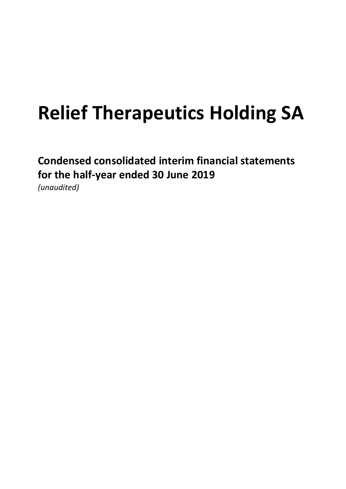Condensed consolidated interim financial statements for the half-year ended 30 June 2019 (unaudited)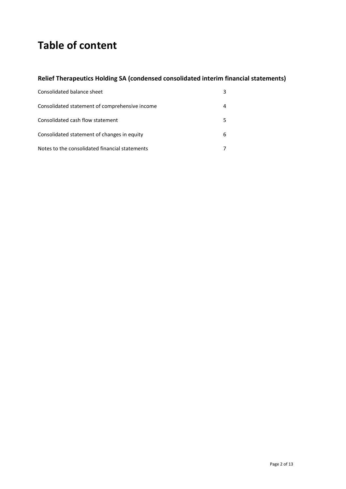# Table of content

# Relief Therapeutics Holding SA (condensed consolidated interim financial statements)

| Consolidated balance sheet                     | 3 |
|------------------------------------------------|---|
| Consolidated statement of comprehensive income |   |
| Consolidated cash flow statement               |   |
| Consolidated statement of changes in equity    | 6 |
| Notes to the consolidated financial statements |   |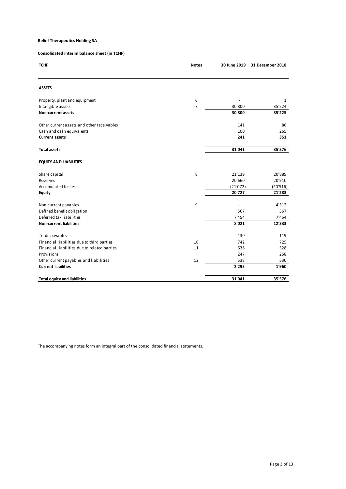| <b>Relief Therapeutics Holding SA</b>                |                  |                          |                               |
|------------------------------------------------------|------------------|--------------------------|-------------------------------|
| Consolidated interim balance sheet (in TCHF)         |                  |                          |                               |
|                                                      |                  |                          |                               |
| <b>TCHF</b>                                          | <b>Notes</b>     |                          | 30 June 2019 31 December 2018 |
|                                                      |                  |                          |                               |
| <b>ASSETS</b>                                        |                  |                          |                               |
| Property, plant and equipment                        | 6                | $\overline{\phantom{a}}$ | 1                             |
| Intangible assets<br>Non-current assets              | $\boldsymbol{7}$ | 30'800<br>30'800         | 35'224<br>35'225              |
|                                                      |                  |                          |                               |
| Other current assets and other receivables           |                  | 141                      | 86                            |
| Cash and cash equivalents                            |                  | 100                      | 265                           |
| <b>Current assets</b>                                |                  | 241                      | 351                           |
| <b>Total assets</b>                                  |                  | 31'041                   | 35'576                        |
| <b>EQUITY AND LIABILITIES</b>                        |                  |                          |                               |
| Share capital                                        | 8                | 21'139                   | 20'889                        |
| Reserves                                             |                  | 20'660                   | 20'910                        |
| Accumulated losses                                   |                  | (21'072)                 | (20'516)                      |
| Equity                                               |                  | 20'727                   | 21'283                        |
| Non-current payables                                 | $\boldsymbol{9}$ | $\overline{\phantom{a}}$ | 4'312                         |
| Defined benefit obligation                           |                  | 567                      | 567                           |
| Deferred tax liabilities                             |                  | 7'454                    | 7'454                         |
| <b>Non-current liabilities</b>                       |                  | 8'021                    | 12'333                        |
| Trade payables                                       |                  | 130                      | 119                           |
| Financial liabilities due to third parties           | 10               | 742                      | 725                           |
| Financial liabilities due to related parties         | 11               | 636                      | 328                           |
| Provisions<br>Other current payables and liabilities | 12               | 247<br>538               | 258                           |
| <b>Current liabilities</b>                           |                  | 2'293                    | 530<br>1'960                  |
| <b>Total equity and liabilities</b>                  |                  | 31'041                   | 35'576                        |
|                                                      |                  |                          |                               |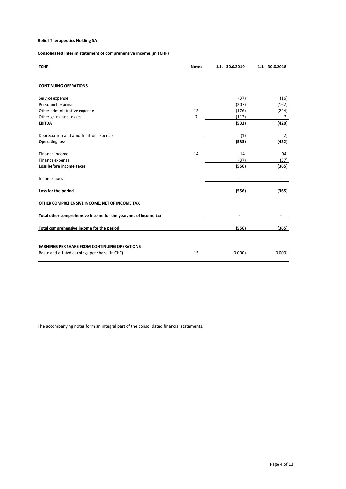# Consolidated interim statement of comprehensive income (in TCHF)

| <b>Relief Therapeutics Holding SA</b>                                                                 |                      |                          |                         |
|-------------------------------------------------------------------------------------------------------|----------------------|--------------------------|-------------------------|
| Consolidated interim statement of comprehensive income (in TCHF)                                      |                      |                          |                         |
|                                                                                                       |                      |                          |                         |
| <b>TCHF</b>                                                                                           | <b>Notes</b>         | 1.1. - 30.6.2019         | 1.1. - 30.6.2018        |
| <b>CONTINUING OPERATIONS</b>                                                                          |                      |                          |                         |
| Service expense                                                                                       |                      | (37)                     | (16)                    |
| Personnel expense                                                                                     |                      | (207)                    | (162)                   |
| Other administrative expense<br>Other gains and losses                                                | 13<br>$\overline{7}$ | (176)<br>(112)           | (244)<br>$\overline{2}$ |
| <b>EBITDA</b>                                                                                         |                      | (532)                    | (420)                   |
| Depreciation and amortisation expense                                                                 |                      | (1)                      | (2)                     |
| <b>Operating loss</b>                                                                                 |                      | (533)                    | (422)                   |
| Finance income                                                                                        | 14                   | 14                       | 94                      |
| Finance expense                                                                                       |                      | (37)                     | (37)                    |
| Loss before income taxes                                                                              |                      | (556)                    | (365)                   |
| Income taxes                                                                                          |                      | $\overline{\phantom{a}}$ | $\sim$                  |
| Loss for the period                                                                                   |                      | (556)                    | (365)                   |
| OTHER COMPREHENSIVE INCOME, NET OF INCOME TAX                                                         |                      |                          |                         |
| Total other comprehensive income for the year, net of income tax                                      |                      |                          | $\sim$                  |
| Total comprehensive income for the period                                                             |                      | (556)                    | (365)                   |
|                                                                                                       |                      |                          |                         |
|                                                                                                       |                      |                          | (0.000)                 |
| <b>EARNINGS PER SHARE FROM CONTINUING OPERATIONS</b><br>Basic and diluted earnings per share (in CHF) | 15                   | (0.000)                  |                         |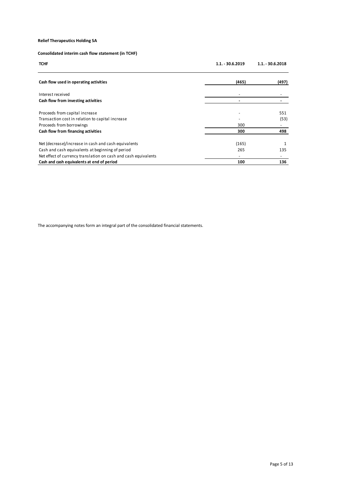# Consolidated interim cash flow statement (in TCHF)

| <b>Relief Therapeutics Holding SA</b>                                                                         |                          |                    |
|---------------------------------------------------------------------------------------------------------------|--------------------------|--------------------|
|                                                                                                               |                          |                    |
| Consolidated interim cash flow statement (in TCHF)                                                            |                          |                    |
| <b>TCHF</b>                                                                                                   | 1.1. - 30.6.2019         | $1.1. - 30.6.2018$ |
|                                                                                                               |                          |                    |
| Cash flow used in operating activities                                                                        | (465)                    | (497)              |
| Interest received                                                                                             | $\overline{\phantom{a}}$ |                    |
| Cash flow from investing activities                                                                           | $\sim$                   | $\sim$             |
| Proceeds from capital increase                                                                                |                          | 551                |
| Transaction cost in relation to capital increase                                                              |                          | (53)               |
| Proceeds from borrowings                                                                                      | 300                      | $\sim$             |
| Cash flow from financing activities                                                                           | 300                      | 498                |
| Net (decrease)/increase in cash and cash equivalents                                                          | (165)                    | $\mathbf{1}$       |
| Cash and cash equivalents at beginning of period                                                              | 265                      | 135                |
|                                                                                                               | $\sim$<br>100            | $\sim$             |
| Net effect of currency translation on cash and cash equivalents<br>Cash and cash equivalents at end of period |                          | 136                |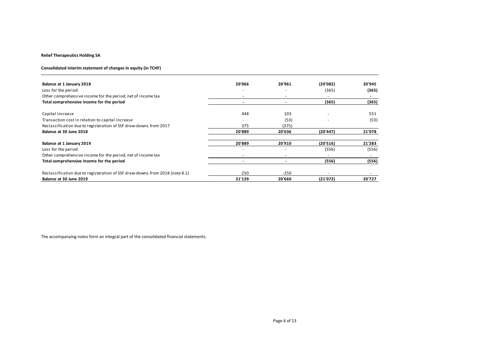#### Consolidated interim statement of changes in equity (in TCHF)

| <b>Relief Therapeutics Holding SA</b>                                                                                                                                                                                                                                                                                                 |                          |                          |                 |                          |
|---------------------------------------------------------------------------------------------------------------------------------------------------------------------------------------------------------------------------------------------------------------------------------------------------------------------------------------|--------------------------|--------------------------|-----------------|--------------------------|
|                                                                                                                                                                                                                                                                                                                                       |                          |                          |                 |                          |
| Consolidated interim statement of changes in equity (in TCHF)                                                                                                                                                                                                                                                                         |                          |                          |                 |                          |
|                                                                                                                                                                                                                                                                                                                                       |                          |                          |                 |                          |
| Balance at 1 January 2018                                                                                                                                                                                                                                                                                                             | 20'066<br>$\overline{a}$ | 20'961<br>$\overline{a}$ | (20'082)        | 20'945                   |
| Loss for the period<br>Other comprehensive income for the period, net of income tax                                                                                                                                                                                                                                                   | $\sim$                   | $\sim$                   | (365)<br>$\sim$ | (365)<br>$\sim$          |
| Total comprehensive income for the period                                                                                                                                                                                                                                                                                             | $\sim$                   | $\sim$                   | (365)           | (365)                    |
|                                                                                                                                                                                                                                                                                                                                       |                          |                          |                 |                          |
|                                                                                                                                                                                                                                                                                                                                       |                          |                          |                 | 551                      |
|                                                                                                                                                                                                                                                                                                                                       | 448                      | 103                      |                 |                          |
|                                                                                                                                                                                                                                                                                                                                       | $\blacksquare$           | (53)                     |                 | (53)                     |
|                                                                                                                                                                                                                                                                                                                                       | 375<br>20'889            | (375)<br>20'636          | (20'447)        | 21'078                   |
|                                                                                                                                                                                                                                                                                                                                       |                          |                          |                 |                          |
|                                                                                                                                                                                                                                                                                                                                       | 20'889                   | 20'910                   | (20'516)        | 21'283                   |
|                                                                                                                                                                                                                                                                                                                                       | $\overline{\phantom{a}}$ | $\omega$                 | (556)           | (556)                    |
|                                                                                                                                                                                                                                                                                                                                       | $\sim$                   | $\overline{\phantom{a}}$ | $\sim$          | $\sim$                   |
| Capital increase<br>Transaction cost in relation to capital increase<br>Reclassification due to registeration of SSF draw-downs from 2017<br>Balance at 30 June 2018<br>Balance at 1 January 2019<br>Loss for the period<br>Other comprehensive income for the period, net of income tax<br>Total comprehensive income for the period | $\sim$                   | $\sim$                   | (556)           | (556)                    |
| Reclassification due to registeration of SSF draw-downs from 2018 (note 8.1)                                                                                                                                                                                                                                                          | 250                      | $-250$                   | $\sim$          | $\overline{\phantom{a}}$ |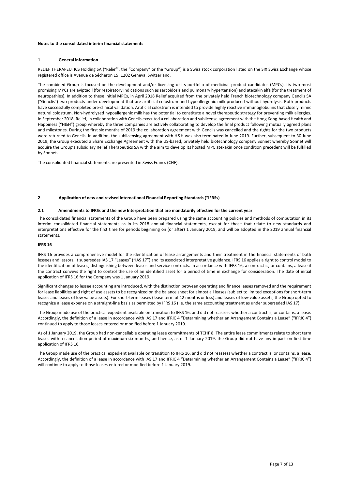#### Notes to the consolidated interim financial statements

#### 1 General information

RELIEF THERAPEUTICS Holding SA ("Relief", the "Company" or the "Group") is a Swiss stock corporation listed on the SIX Swiss Exchange whose registered office is Avenue de Sécheron 15, 1202 Geneva, Switzerland.

The combined Group is focused on the development and/or licensing of its portfolio of medicinal product candidates (MPCs). Its two most promising MPCs are aviptadil (for respiratory indications such as sarcoidosis and pulmonary hypertension) and atexakin alfa (for the treatment of neuropathies). In addition to these initial MPCs, in April 2018 Relief acquired from the privately held French biotechnology company Genclis SA ("Genclis") two products under development that are artificial colostrum and hypoallergenic milk produced without hydrolysis. Both products have successfully completed pre-clinical validation. Artificial colostrum is intended to provide highly reactive immunoglobulins that closely mimic natural colostrum. Non-hydrolyzed hypoallergenic milk has the potential to constitute a novel therapeutic strategy for preventing milk allergies. In September 2018, Relief, in collaboration with Genclis executed a collaboration and sublicense agreement with the Hong Kong-based Health and Happiness ("H&H") group whereby the three companies are actively collaborating to develop the final product following mutually agreed plans and milestones. During the first six months of 2019 the collaboration agreement with Genclis was cancelled and the rights for the two products were returned to Genclis. In addition, the sublicensing agreement with H&H was also terminated in June 2019. Further, subsequent to 30 June 2019, the Group executed a Share Exchange Agreement with the US-based, privately held biotechnology company Sonnet whereby Sonnet will acquire the Group's subsidiary Relief Therapeutics SA with the aim to develop its hosted MPC atexakin once condition precedent will be fulfilled by Sonnet.

The consolidated financial statements are presented in Swiss Francs (CHF).

#### 2 Application of new and revised International Financial Reporting Standards ("IFRSs)

#### 2.1 Amendments to IFRSs and the new Interpretation that are mandatorily effective for the current year

The consolidated financial statements of the Group have been prepared using the same accounting policies and methods of computation in its interim consolidated financial statements as in its 2018 annual financial statements, except for those that relate to new standards and interpretations effective for the first time for periods beginning on (or after) 1 January 2019, and will be adopted in the 2019 annual financial statements.

#### IFRS 16

IFRS 16 provides a comprehensive model for the identification of lease arrangements and their treatment in the financial statements of both lessees and lessors. It supersedes IAS 17 "Leases" ("IAS 17") and its associated interpretative guidance. IFRS 16 applies a right to control model to the identification of leases, distinguishing between leases and service contracts. In accordance with IFRS 16, a contract is, or contains, a lease if the contract conveys the right to control the use of an identified asset for a period of time in exchange for consideration. The date of initial application of IFRS 16 for the Company was 1 January 2019.

Significant changes to lessee accounting are introduced, with the distinction between operating and finance leases removed and the requirement for lease liabilities and right of use assets to be recognized on the balance sheet for almost all leases (subject to limited exceptions for short-term leases and leases of low value assets). For short-term leases (lease term of 12 months or less) and leases of low-value assets, the Group opted to recognize a lease expense on a straight-line basis as permitted by IFRS 16 (i.e. the same accounting treatment as under superseded IAS 17).

The Group made use of the practical expedient available on transition to IFRS 16, and did not reassess whether a contract is, or contains, a lease. Accordingly, the definition of a lease in accordance with IAS 17 and IFRIC 4 "Determining whether an Arrangement Contains a Lease" ("IFRIC 4") continued to apply to those leases entered or modified before 1 January 2019.

As of 1 January 2019, the Group had non-cancellable operating lease commitments of TCHF 8. The entire lease commitments relate to short term leases with a cancellation period of maximum six months, and hence, as of 1 January 2019, the Group did not have any impact on first-time application of IFRS 16.

The Group made use of the practical expedient available on transition to IFRS 16, and did not reassess whether a contract is, or contains, a lease. Accordingly, the definition of a lease in accordance with IAS 17 and IFRIC 4 "Determining whether an Arrangement Contains a Lease" ("IFRIC 4") will continue to apply to those leases entered or modified before 1 January 2019.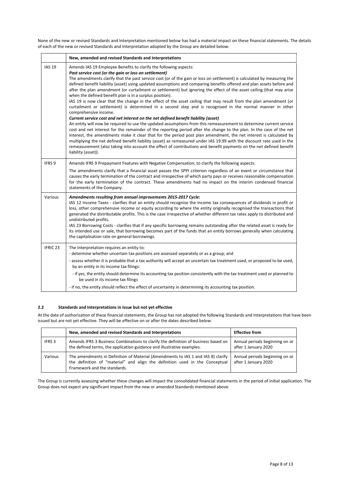None of the new or revised Standards and Interpretation mentioned below has had a material impact on these financial statements. The details of each of the new or revised Standards and Interpretation adopted by the Group are detailed below:

|                 | New, amended and revised Standards and Interpretations                                                                                                                                                                                                                                                                                                                                                                                                                                                                                                                                                                                                                                                                                                                                                                                                                                                                                                                                                                                                                                                                                                                                                                                                                                                                                                                                                                                                                                                                                                          |
|-----------------|-----------------------------------------------------------------------------------------------------------------------------------------------------------------------------------------------------------------------------------------------------------------------------------------------------------------------------------------------------------------------------------------------------------------------------------------------------------------------------------------------------------------------------------------------------------------------------------------------------------------------------------------------------------------------------------------------------------------------------------------------------------------------------------------------------------------------------------------------------------------------------------------------------------------------------------------------------------------------------------------------------------------------------------------------------------------------------------------------------------------------------------------------------------------------------------------------------------------------------------------------------------------------------------------------------------------------------------------------------------------------------------------------------------------------------------------------------------------------------------------------------------------------------------------------------------------|
| <b>IAS 19</b>   | Amends IAS 19 Employee Benefits to clarify the following aspects:<br>Past service cost (or the gain or loss on settlement)<br>The amendments clarify that the past service cost (or of the gain or loss on settlement) is calculated by measuring the<br>defined benefit liability (asset) using updated assumptions and comparing benefits offered and plan assets before and<br>after the plan amendment (or curtailment or settlement) but ignoring the effect of the asset ceiling (that may arise<br>when the defined benefit plan is in a surplus position).<br>IAS 19 is now clear that the change in the effect of the asset ceiling that may result from the plan amendment (or<br>curtailment or settlement) is determined in a second step and is recognised in the normal manner in other<br>comprehensive income.<br>Current service cost and net interest on the net defined benefit liability (asset)<br>An entity will now be required to use the updated assumptions from this remeasurement to determine current service<br>cost and net interest for the remainder of the reporting period after the change to the plan. In the case of the net<br>interest, the amendments make it clear that for the period post plan amendment, the net interest is calculated by<br>multiplying the net defined benefit liability (asset) as remeasured under IAS 19.99 with the discount rate used in the<br>remeasurement (also taking into account the effect of contributions and benefit payments on the net defined benefit<br>liability (asset)). |
| IFRS 9          | Amends IFRS 9 Prepayment Features with Negative Compensation, to clarify the following aspects:<br>The amendments clarify that a financial asset passes the SPPI criterion regardless of an event or circumstance that<br>causes the early termination of the contract and irrespective of which party pays or receives reasonable compensation<br>for the early termination of the contract. These amendments had no impact on the interim condensed financial<br>statements of the Company.                                                                                                                                                                                                                                                                                                                                                                                                                                                                                                                                                                                                                                                                                                                                                                                                                                                                                                                                                                                                                                                                   |
| Various         | Amendments resulting from annual improvements 2015-2017 Cycle:<br>IAS 12 Income Taxes - clarifies that an entity should recognise the income tax consequences of dividends in profit or<br>loss, other comprehensive income or equity according to where the entity originally recognised the transactions that<br>generated the distributable profits. This is the case irrespective of whether different tax rates apply to distributed and<br>undistributed profits.<br>IAS 23 Borrowing Costs - clarifies that if any specific borrowing remains outstanding after the related asset is ready for<br>its intended use or sale, that borrowing becomes part of the funds that an entity borrows generally when calculating<br>the capitalisation rate on general borrowings.                                                                                                                                                                                                                                                                                                                                                                                                                                                                                                                                                                                                                                                                                                                                                                                 |
| <b>IFRIC 23</b> | The Interpretation requires an entity to:<br>- determine whether uncertain tax positions are assessed separately or as a group; and<br>- assess whether it is probable that a tax authority will accept an uncertain tax treatment used, or proposed to be used,<br>by an entity in its income tax filings:<br>- if yes, the entity should determine its accounting tax position consistently with the tax treatment used or planned to<br>be used in its income tax filings<br>- if no, the entity should reflect the effect of uncertainty in determining its accounting tax position.                                                                                                                                                                                                                                                                                                                                                                                                                                                                                                                                                                                                                                                                                                                                                                                                                                                                                                                                                                        |

#### 2.2 Standards and Interpretations in issue but not yet effective

At the date of authorisation of these financial statements, the Group has not adopted the following Standards and Interpretations that have been issued but are not yet effective. They will be effective on or after the dates described below.

|         | New, amended and revised Standards and Interpretations                                                                                                                                           | <b>Effective from</b>                                  |
|---------|--------------------------------------------------------------------------------------------------------------------------------------------------------------------------------------------------|--------------------------------------------------------|
| IFRS 3  | Amends IFRS 3 Business Combinations to clarify the definition of business based on<br>the defined terms, the application guidance and illustrative examples.                                     | Annual periods beginning on or<br>after 1 January 2020 |
| Various | The amendments in Definition of Material (Amendments to IAS 1 and IAS 8) clarify<br>the definition of "material" and align the definition used in the Conceptual<br>Framework and the standards. | Annual periods beginning on or<br>after 1 January 2020 |

The Group is currently assessing whether these changes will impact the consolidated financial statements in the period of initial application. The Group does not expect any significant impact from the new or amended Standards mentioned above.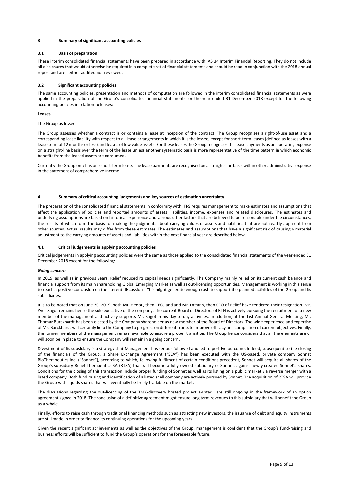#### 3 Summary of significant accounting policies

#### 3.1 Basis of preparation

These interim consolidated financial statements have been prepared in accordance with IAS 34 Interim Financial Reporting. They do not include all disclosures that would otherwise be required in a complete set of financial statements and should be read in conjunction with the 2018 annual report and are neither audited nor reviewed.

#### 3.2 Significant accounting policies

The same accounting policies, presentation and methods of computation are followed in the interim consolidated financial statements as were applied in the preparation of the Group's consolidated financial statements for the year ended 31 December 2018 except for the following accounting policies in relation to leases:

#### Leases

#### The Group as lessee

The Group assesses whether a contract is or contains a lease at inception of the contract. The Group recognises a right-of-use asset and a corresponding lease liability with respect to all lease arrangements in which it is the lessee, except for short-term leases (defined as leases with a lease term of 12 months or less) and leases of low value assets. For these leases the Group recognises the lease payments as an operating expense on a straight-line basis over the term of the lease unless another systematic basis is more representative of the time pattern in which economic benefits from the leased assets are consumed.

Currently the Group only has one short-term lease. The lease payments are recognised on a straight-line basis within other administrative expense in the statement of comprehensive income.

#### 4 Summary of critical accounting judgements and key sources of estimation uncertainty

The preparation of the consolidated financial statements in conformity with IFRS requires management to make estimates and assumptions that affect the application of policies and reported amounts of assets, liabilities, income, expenses and related disclosures. The estimates and underlying assumptions are based on historical experience and various other factors that are believed to be reasonable under the circumstances, the results of which form the basis for making the judgments about carrying values of assets and liabilities that are not readily apparent from other sources. Actual results may differ from these estimates. The estimates and assumptions that have a significant risk of causing a material adjustment to the carrying amounts of assets and liabilities within the next financial year are described below.

#### 4.1 Critical judgements in applying accounting policies

Critical judgements in applying accounting policies were the same as those applied to the consolidated financial statements of the year ended 31 December 2018 except for the following:

#### Going concern

In 2019, as well as in previous years, Relief reduced its capital needs significantly. The Company mainly relied on its current cash balance and financial support from its main shareholding Global Emerging Market as well as out-licensing opportunities. Management is working in this sense to reach a positive conclusion on the current discussions. This might generate enough cash to support the planned activities of the Group and its subsidiaries.

It is to be noted that on June 30, 2019, both Mr. Hedou, then CEO, and and Mr. Dreano, then CFO of Relief have tendered their resignation. Mr. Yves Sagot remains hence the sole executive of the company. The current Board of Directors of RTH is actively pursuing the recruitment of a new member of the management and actively supports Mr. Sagot in his day-to-day activities. In addition, at the last Annual General Meeting, Mr. Thomaz Burckhardt has been elected by the Company shareholder as new member of the Board of Directors. The wide experience and expertise of Mr. Burckhardt will certainly help the Company to progress on different fronts to improve efficacy and completion of current objectives. Finally, the former members of the management remain available to ensure a proper transition. The Group hence considers that all the elements are or will soon be in place to ensure the Company will remain in a going concern.

Divestment of its subsidiary is a strategy that Management has serious followed and led to positive outcome. Indeed, subsequent to the closing of the financials of the Group, a Share Exchange Agreement ("SEA") has been executed with the US-based, private company Sonnet BioTherapeutics Inc. ("Sonnet"), according to which, following fulfilment of certain conditions precedent, Sonnet will acquire all shares of the Group's subsidiary Relief Therapeutics SA (RTSA) that will become a fully owned subsidiary of Sonnet, against newly created Sonnet's shares. Conditions for the closing of this transaction include proper funding of Sonnet as well as its listing on a public market via reverse merger with a listed company. Both fund raising and identification of a listed shell company are actively pursued by Sonnet. The acquisition of RTSA will provide the Group with liquids shares that will eventually be freely tradable on the market.

The discussions regarding the out-licencing of the TMX-discovery hosted project aviptadil are still ongoing in the framework of an option agreement signed in 2018. The conclusion of a definitive agreement might ensure long term revenues to this subsidiary that will benefit the Group as a whole.

Finally, efforts to raise cash through traditional financing methods such as attracting new investors, the issuance of debt and equity instruments are still made in order to finance its continuing operations for the upcoming years.

Given the recent significant achievements as well as the objectives of the Group, management is confident that the Group's fund-raising and business efforts will be sufficient to fund the Group's operations for the foreseeable future.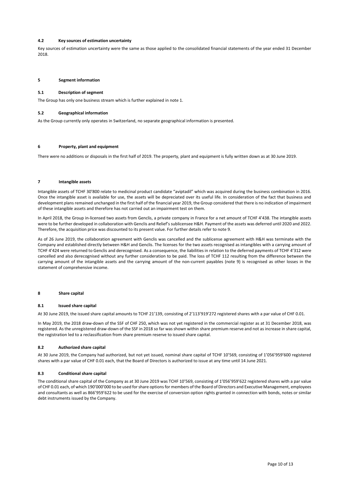#### 4.2 Key sources of estimation uncertainty

Key sources of estimation uncertainty were the same as those applied to the consolidated financial statements of the year ended 31 December 2018.

#### 5 Segment information

#### 5.1 Description of segment

The Group has only one business stream which is further explained in note 1.

#### 5.2 Geographical information

As the Group currently only operates in Switzerland, no separate geographical information is presented.

#### 6 Property, plant and equipment

There were no additions or disposals in the first half of 2019. The property, plant and equipment is fully written down as at 30 June 2019.

#### 7 Intangible assets

Intangible assets of TCHF 30'800 relate to medicinal product candidate "aviptadil" which was acquired during the business combination in 2016. Once the intangible asset is available for use, the assets will be depreciated over its useful life. In consideration of the fact that business and development plans remained unchanged in the first half of the financial year 2019, the Group considered that there is no indication of impairment of these intangible assets and therefore has not carried out an impairment test on them.

In April 2018, the Group in-licensed two assets from Genclis, a private company in France for a net amount of TCHF 4'438. The intangible assets were to be further developed in collaboration with Genclis and Relief's sublicensee H&H. Payment of the assets was deferred until 2020 and 2022. Therefore, the acquisition price was discounted to its present value. For further details refer to note 9.

As of 26 June 2019, the collaboration agreement with Genclis was cancelled and the sublicense agreement with H&H was terminate with the Company and established directly between H&H and Genclis. The licenses for the two assets recognised as intangibles with a carrying amount of TCHF 4'424 were returned to Genclis and derecognised. As a consequence, the liabilities in relation to the deferred payments of TCHF 4'312 were cancelled and also derecognised without any further consideration to be paid. The loss of TCHF 112 resulting from the difference between the carrying amount of the intangible assets and the carrying amount of the non-current payables (note 9) is recognised as other losses in the statement of comprehensive income.

#### 8 Share capital

#### 8.1 Issued share capital

At 30 June 2019, the issued share capital amounts to TCHF 21'139, consisting of 2'113'919'272 registered shares with a par value of CHF 0.01.

In May 2019, the 2018 draw-down of the SSF of CHF 250, which was not yet registered in the commercial register as at 31 December 2018, was registered. As the unregistered draw-down of the SSF in 2018 so far was shown within share premium reserve and not as increase in share capital, the registration led to a reclassification from share premium reserve to issued share capital.

#### 8.2 Authorized share capital

At 30 June 2019, the Company had authorized, but not yet issued, nominal share capital of TCHF 10'569, consisting of 1'056'959'600 registered shares with a par value of CHF 0.01 each, that the Board of Directors is authorized to issue at any time until 14 June 2021.

#### 8.3 Conditional share capital

The conditional share capital of the Company as at 30 June 2019 was TCHF 10'569, consisting of 1'056'959'622 registered shares with a par value of CHF 0.01 each, of which 190'000'000 to be used for share options for members of the Board of Directors and Executive Management, employees and consultants as well as 866'959'622 to be used for the exercise of conversion option rights granted in connection with bonds, notes or similar debt instruments issued by the Company.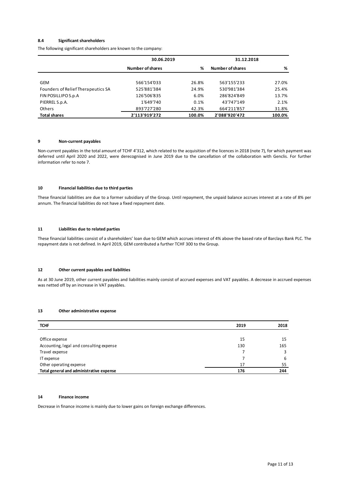#### 8.4 Significant shareholders

| 8.4<br><b>Significant shareholders</b><br>The following significant shareholders are known to the company: |                         |       |                  |       |
|------------------------------------------------------------------------------------------------------------|-------------------------|-------|------------------|-------|
|                                                                                                            | 31.12.2018              |       |                  |       |
|                                                                                                            | 30.06.2019              |       |                  |       |
|                                                                                                            | <b>Number of shares</b> | %     | Number of shares | %     |
| GEM                                                                                                        | 566'154'033             | 26.8% | 563'155'233      | 27.0% |
| Founders of Relief Therapeutics SA                                                                         | 525'881'384             | 24.9% | 530'981'384      | 25.4% |
| FIN POSILLIPO S.p.A                                                                                        | 126'506'835             | 6.0%  | 286'824'849      | 13.7% |
| PIERREL S.p.A.                                                                                             | 1'649'740               | 0.1%  | 43'747'149       | 2.1%  |
| Others                                                                                                     | 893'727'280             | 42.3% | 664'211'857      | 31.8% |

#### 9 Non-current payables

Non-current payables in the total amount of TCHF 4'312, which related to the acquisition of the licences in 2018 (note 7), for which payment was deferred until April 2020 and 2022, were derecognised in June 2019 due to the cancellation of the collaboration with Genclis. For further information refer to note 7.

#### 10 Financial liabilities due to third parties

#### 11 Liabilities due to related parties

# 12 Other current payables and liabilities

#### 13 Other administrative expense

| 10                | Financial liabilities due to third parties                                                                                                                                                                                                           |                |      |
|-------------------|------------------------------------------------------------------------------------------------------------------------------------------------------------------------------------------------------------------------------------------------------|----------------|------|
|                   | These financial liabilities are due to a former subsidiary of the Group. Until repayment, the unpaid balance accrues interest at a rate of 8% per<br>annum. The financial liabilities do not have a fixed repayment date.                            |                |      |
| 11                | Liabilities due to related parties                                                                                                                                                                                                                   |                |      |
|                   | These financial liabilities consist of a shareholders' loan due to GEM which accrues interest of 4% above the based rate of Barclays Bank PLC. The<br>repayment date is not defined. In April 2019, GEM contributed a further TCHF 300 to the Group. |                |      |
| 12                | Other current payables and liabilities                                                                                                                                                                                                               |                |      |
|                   | As at 30 June 2019, other current payables and liabilities mainly consist of accrued expenses and VAT payables. A decrease in accrued expenses<br>was netted off by an increase in VAT payables.                                                     |                |      |
| 13<br><b>TCHF</b> | Other administrative expense                                                                                                                                                                                                                         | 2019           | 2018 |
|                   |                                                                                                                                                                                                                                                      |                |      |
|                   | Office expense                                                                                                                                                                                                                                       | 15             | 15   |
|                   | Accounting, legal and consulting expense                                                                                                                                                                                                             | 130            | 165  |
|                   | Travel expense                                                                                                                                                                                                                                       | 7              | 3    |
| IT expense        |                                                                                                                                                                                                                                                      | $\overline{7}$ | 6    |
|                   | Other operating expense                                                                                                                                                                                                                              | 17             | 55   |
|                   | Total general and administrative expense                                                                                                                                                                                                             | 176            | 244  |
|                   |                                                                                                                                                                                                                                                      |                |      |
|                   |                                                                                                                                                                                                                                                      |                |      |
| 14                | <b>Finance income</b>                                                                                                                                                                                                                                |                |      |
|                   |                                                                                                                                                                                                                                                      |                |      |
|                   | Decrease in finance income is mainly due to lower gains on foreign exchange differences.                                                                                                                                                             |                |      |

#### 14 Finance income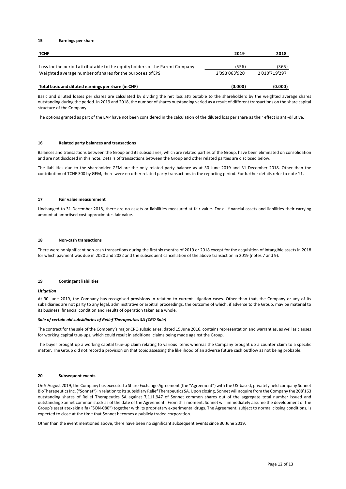#### 15 Earnings per share

| 15          | Earnings per share                                                                                                                                                                                                                                                                                                              |               |               |  |
|-------------|---------------------------------------------------------------------------------------------------------------------------------------------------------------------------------------------------------------------------------------------------------------------------------------------------------------------------------|---------------|---------------|--|
| <b>TCHF</b> |                                                                                                                                                                                                                                                                                                                                 | 2019          | 2018          |  |
|             | Loss for the period attributable to the equity holders of the Parent Company                                                                                                                                                                                                                                                    | (556)         | (365)         |  |
|             | Weighted average number of shares for the purposes of EPS                                                                                                                                                                                                                                                                       | 2'093'063'920 | 2'010'719'297 |  |
|             | Total basic and diluted earnings per share (in CHF)                                                                                                                                                                                                                                                                             | (0.000)       | (0.000)       |  |
|             | Basic and diluted losses per shares are calculated by dividing the net loss attributable to the shareholders by the weighted average shares<br>outstanding during the period. In 2019 and 2018, the number of shares outstanding varied as a result of different transactions on the share capital<br>structure of the Company. |               |               |  |
|             | The options granted as part of the EAP have not been considered in the calculation of the diluted loss per share as their effect is anti-dilutive.                                                                                                                                                                              |               |               |  |
|             |                                                                                                                                                                                                                                                                                                                                 |               |               |  |

#### 16 Related party balances and transactions

Balances and transactions between the Group and its subsidiaries, which are related parties of the Group, have been eliminated on consolidation and are not disclosed in this note. Details of transactions between the Group and other related parties are disclosed below.

The liabilities due to the shareholder GEM are the only related party balance as at 30 June 2019 and 31 December 2018. Other than the contribution of TCHF 300 by GEM, there were no other related party transactions in the reporting period. For further details refer to note 11.

#### 17 Fair value measurement

Unchanged to 31 December 2018, there are no assets or liabilities measured at fair value. For all financial assets and liabilities their carrying amount at amortised cost approximates fair value.

#### 18 Non-cash transactions

There were no significant non-cash transactions during the first six months of 2019 or 2018 except for the acquisition of intangible assets in 2018 for which payment was due in 2020 and 2022 and the subsequent cancellation of the above transaction in 2019 (notes 7 and 9).

#### 19 Contingent liabilities

#### **Litiaation**

At 30 June 2019, the Company has recognised provisions in relation to current litigation cases. Other than that, the Company or any of its subsidiaries are not party to any legal, administrative or arbitral proceedings, the outcome of which, if adverse to the Group, may be material to its business, financial condition and results of operation taken as a whole.

#### Sale of certain old subsidiaries of Relief Therapeutics SA (CRO Sale)

The contract for the sale of the Company's major CRO subsidiaries, dated 15 June 2016, contains representation and warranties, as well as clauses for working capital true-ups, which could result in additional claims being made against the Group.

The buyer brought up a working capital true-up claim relating to various items whereas the Company brought up a counter claim to a specific matter. The Group did not record a provision on that topic assessing the likelihood of an adverse future cash outflow as not being probable.

#### 20 Subsequent events

On 9 August 2019, the Company has executed a Share Exchange Agreement (the "Agreement") with the US-based, privately held company Sonnet BioTherapeutics Inc. ("Sonnet") in relation to its subsidiary Relief Therapeutics SA. Upon closing, Sonnet will acquire from the Company the 208'163 outstanding shares of Relief Therapeutics SA against 7,111,947 of Sonnet common shares out of the aggregate total number issued and outstanding Sonnet common stock as of the date of the Agreement. From this moment, Sonnet will immediately assume the development of the Group's asset atexakin alfa ("SON-080") together with its proprietary experimental drugs. The Agreement, subject to normal closing conditions, is expected to close at the time that Sonnet becomes a publicly traded corporation.

Other than the event mentioned above, there have been no significant subsequent events since 30 June 2019.